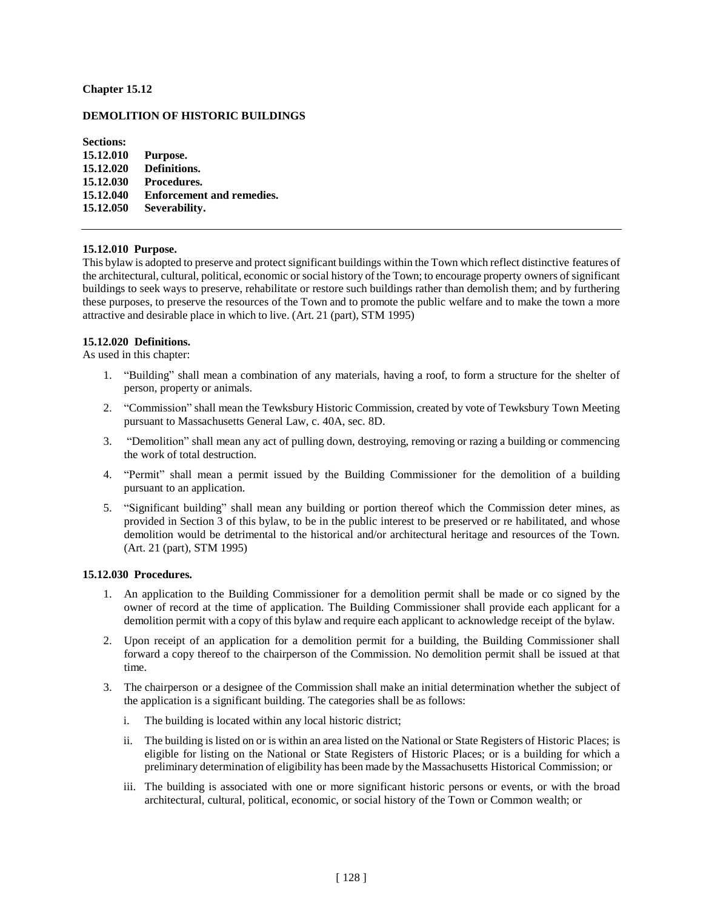# **Chapter 15.12**

# **DEMOLITION OF HISTORIC BUILDINGS**

**Sections: 15.12.010 Purpose. 15.12.020 Definitions. 15.12.030 Procedures. 15.12.040 Enforcement and remedies. 15.12.050 Severability.**

# **15.12.010 Purpose.**

This bylaw is adopted to preserve and protect significant buildings within the Town which reflect distinctive features of the architectural, cultural, political, economic or social history of the Town; to encourage property owners of significant buildings to seek ways to preserve, rehabilitate or restore such buildings rather than demolish them; and by furthering these purposes, to preserve the resources of the Town and to promote the public welfare and to make the town a more attractive and desirable place in which to live. (Art. 21 (part), STM 1995)

#### **15.12.020 Definitions.**

As used in this chapter:

- 1. "Building" shall mean a combination of any materials, having a roof, to form a structure for the shelter of person, property or animals.
- 2. "Commission" shall mean the Tewksbury Historic Commission, created by vote of Tewksbury Town Meeting pursuant to Massachusetts General Law, c. 40A, sec. 8D.
- 3. "Demolition" shall mean any act of pulling down, destroying, removing or razing a building or commencing the work of total destruction.
- 4. "Permit" shall mean a permit issued by the Building Commissioner for the demolition of a building pursuant to an application.
- 5. "Significant building" shall mean any building or portion thereof which the Commission deter mines, as provided in Section 3 of this bylaw, to be in the public interest to be preserved or re habilitated, and whose demolition would be detrimental to the historical and/or architectural heritage and resources of the Town. (Art. 21 (part), STM 1995)

#### **15.12.030 Procedures.**

- 1. An application to the Building Commissioner for a demolition permit shall be made or co signed by the owner of record at the time of application. The Building Commissioner shall provide each applicant for a demolition permit with a copy of this bylaw and require each applicant to acknowledge receipt of the bylaw.
- 2. Upon receipt of an application for a demolition permit for a building, the Building Commissioner shall forward a copy thereof to the chairperson of the Commission. No demolition permit shall be issued at that time.
- 3. The chairperson or a designee of the Commission shall make an initial determination whether the subject of the application is a significant building. The categories shall be as follows:
	- i. The building is located within any local historic district;
	- ii. The building is listed on or is within an area listed on the National or State Registers of Historic Places; is eligible for listing on the National or State Registers of Historic Places; or is a building for which a preliminary determination of eligibility has been made by the Massachusetts Historical Commission; or
	- iii. The building is associated with one or more significant historic persons or events, or with the broad architectural, cultural, political, economic, or social history of the Town or Common wealth; or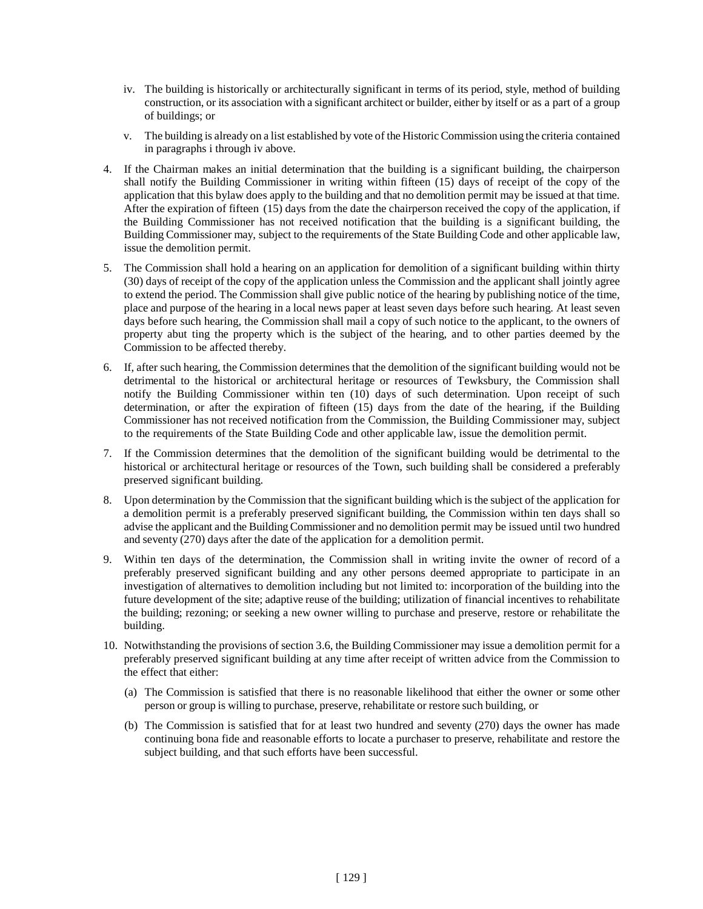- iv. The building is historically or architecturally significant in terms of its period, style, method of building construction, or its association with a significant architect or builder, either by itself or as a part of a group of buildings; or
- v. The building is already on a list established by vote of the Historic Commission using the criteria contained in paragraphs i through iv above.
- 4. If the Chairman makes an initial determination that the building is a significant building, the chairperson shall notify the Building Commissioner in writing within fifteen (15) days of receipt of the copy of the application that this bylaw does apply to the building and that no demolition permit may be issued at that time. After the expiration of fifteen  $(15)$  days from the date the chairperson received the copy of the application, if the Building Commissioner has not received notification that the building is a significant building, the Building Commissioner may, subject to the requirements of the State Building Code and other applicable law, issue the demolition permit.
- 5. The Commission shall hold a hearing on an application for demolition of a significant building within thirty (30) days of receipt of the copy of the application unless the Commission and the applicant shall jointly agree to extend the period. The Commission shall give public notice of the hearing by publishing notice of the time, place and purpose of the hearing in a local news paper at least seven days before such hearing. At least seven days before such hearing, the Commission shall mail a copy of such notice to the applicant, to the owners of property abut ting the property which is the subject of the hearing, and to other parties deemed by the Commission to be affected thereby.
- 6. If, after such hearing, the Commission determines that the demolition of the significant building would not be detrimental to the historical or architectural heritage or resources of Tewksbury, the Commission shall notify the Building Commissioner within ten (10) days of such determination. Upon receipt of such determination, or after the expiration of fifteen (15) days from the date of the hearing, if the Building Commissioner has not received notification from the Commission, the Building Commissioner may, subject to the requirements of the State Building Code and other applicable law, issue the demolition permit.
- 7. If the Commission determines that the demolition of the significant building would be detrimental to the historical or architectural heritage or resources of the Town, such building shall be considered a preferably preserved significant building.
- 8. Upon determination by the Commission that the significant building which is the subject of the application for a demolition permit is a preferably preserved significant building, the Commission within ten days shall so advise the applicant and the BuildingCommissioner and no demolition permit may be issued until two hundred and seventy (270) days after the date of the application for a demolition permit.
- 9. Within ten days of the determination, the Commission shall in writing invite the owner of record of a preferably preserved significant building and any other persons deemed appropriate to participate in an investigation of alternatives to demolition including but not limited to: incorporation of the building into the future development of the site; adaptive reuse of the building; utilization of financial incentives to rehabilitate the building; rezoning; or seeking a new owner willing to purchase and preserve, restore or rehabilitate the building.
- 10. Notwithstanding the provisions of section 3.6, the Building Commissioner may issue a demolition permit for a preferably preserved significant building at any time after receipt of written advice from the Commission to the effect that either:
	- (a) The Commission is satisfied that there is no reasonable likelihood that either the owner or some other person or group is willing to purchase, preserve, rehabilitate or restore such building, or
	- (b) The Commission is satisfied that for at least two hundred and seventy (270) days the owner has made continuing bona fide and reasonable efforts to locate a purchaser to preserve, rehabilitate and restore the subject building, and that such efforts have been successful.